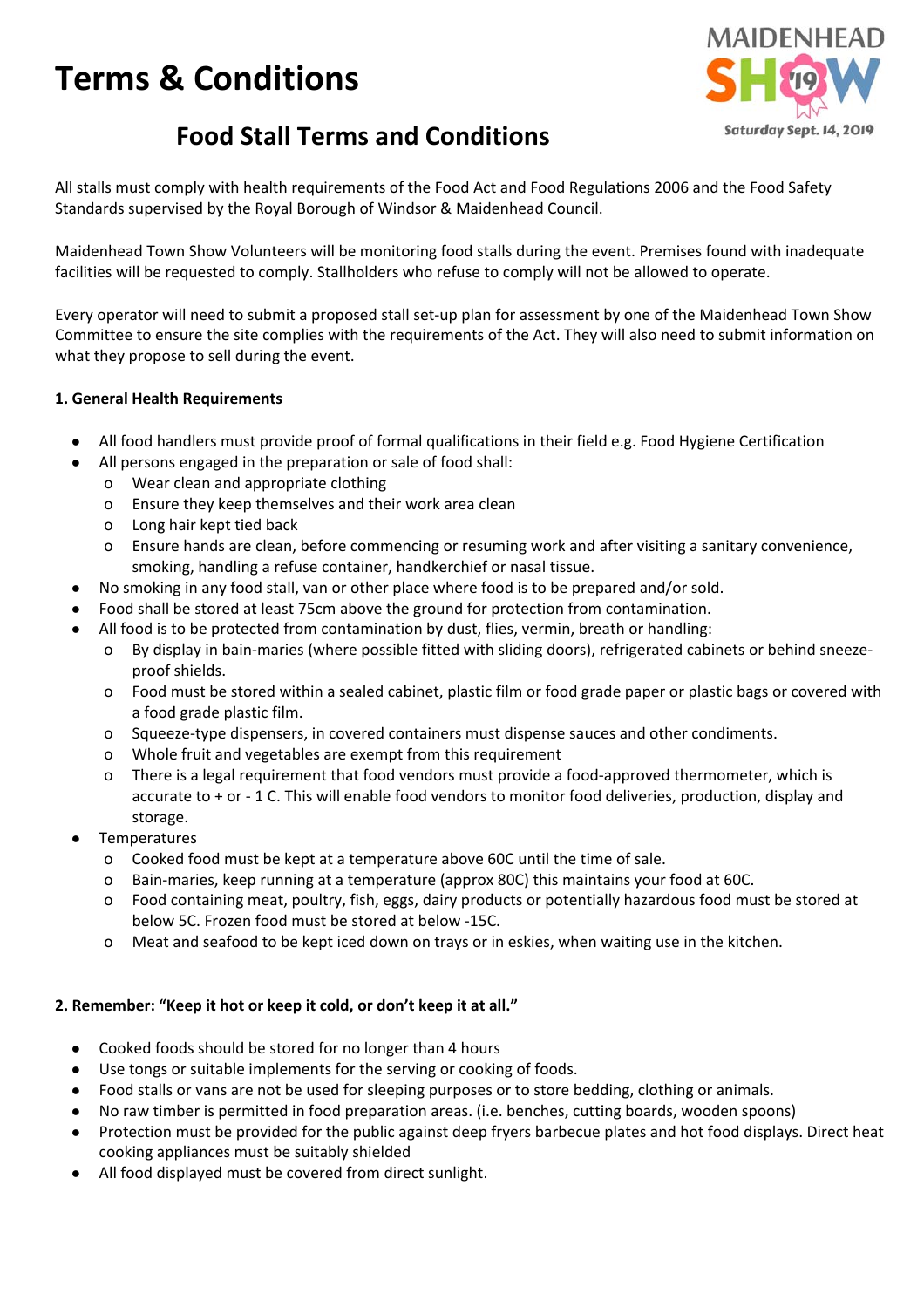

### **Food Stall Terms and Conditions**

All stalls must comply with health requirements of the Food Act and Food Regulations 2006 and the Food Safety Standards supervised by the Royal Borough of Windsor & Maidenhead Council.

Maidenhead Town Show Volunteers will be monitoring food stalls during the event. Premises found with inadequate facilities will be requested to comply. Stallholders who refuse to comply will not be allowed to operate.

Every operator will need to submit a proposed stall set‐up plan for assessment by one of the Maidenhead Town Show Committee to ensure the site complies with the requirements of the Act. They will also need to submit information on what they propose to sell during the event.

### **1. General Health Requirements**

- All food handlers must provide proof of formal qualifications in their field e.g. Food Hygiene Certification
	- All persons engaged in the preparation or sale of food shall:
		- o Wear clean and appropriate clothing
			- o Ensure they keep themselves and their work area clean
			- o Long hair kept tied back
			- o Ensure hands are clean, before commencing or resuming work and after visiting a sanitary convenience, smoking, handling a refuse container, handkerchief or nasal tissue.
- No smoking in any food stall, van or other place where food is to be prepared and/or sold.
- Food shall be stored at least 75cm above the ground for protection from contamination.
- All food is to be protected from contamination by dust, flies, vermin, breath or handling:
	- o By display in bain‐maries (where possible fitted with sliding doors), refrigerated cabinets or behind sneeze‐ proof shields.
	- o Food must be stored within a sealed cabinet, plastic film or food grade paper or plastic bags or covered with a food grade plastic film.
	- o Squeeze‐type dispensers, in covered containers must dispense sauces and other condiments.
	- o Whole fruit and vegetables are exempt from this requirement
	- o There is a legal requirement that food vendors must provide a food‐approved thermometer, which is accurate to + or ‐ 1 C. This will enable food vendors to monitor food deliveries, production, display and storage.
- Temperatures
	- o Cooked food must be kept at a temperature above 60C until the time of sale.
	- o Bain‐maries, keep running at a temperature (approx 80C) this maintains your food at 60C.
	- o Food containing meat, poultry, fish, eggs, dairy products or potentially hazardous food must be stored at below 5C. Frozen food must be stored at below ‐15C.
	- o Meat and seafood to be kept iced down on trays or in eskies, when waiting use in the kitchen.

### **2. Remember: "Keep it hot or keep it cold, or don't keep it at all."**

- Cooked foods should be stored for no longer than 4 hours
- Use tongs or suitable implements for the serving or cooking of foods.
- Food stalls or vans are not be used for sleeping purposes or to store bedding, clothing or animals.
- No raw timber is permitted in food preparation areas. (i.e. benches, cutting boards, wooden spoons)
- Protection must be provided for the public against deep fryers barbecue plates and hot food displays. Direct heat cooking appliances must be suitably shielded
- All food displayed must be covered from direct sunlight.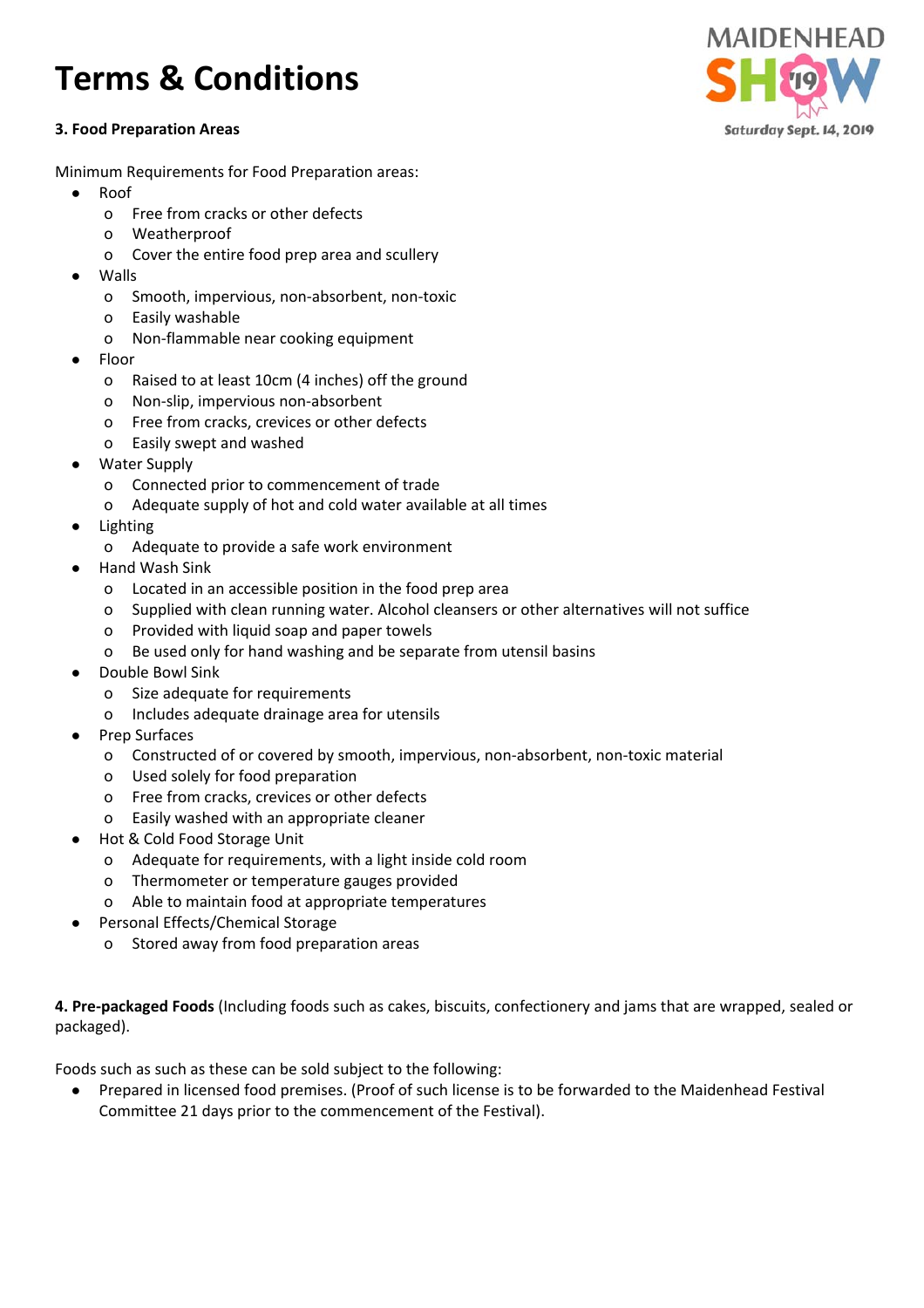### **3. Food Preparation Areas**

Minimum Requirements for Food Preparation areas:

- Roof
	- o Free from cracks or other defects
	- o Weatherproof
	- o Cover the entire food prep area and scullery
- **Walls** 
	- o Smooth, impervious, non‐absorbent, non‐toxic
	- o Easily washable
	- o Non‐flammable near cooking equipment
- **Floor** 
	- o Raised to at least 10cm (4 inches) off the ground
	- o Non‐slip, impervious non‐absorbent
	- o Free from cracks, crevices or other defects
	- o Easily swept and washed
- **Water Supply** 
	- o Connected prior to commencement of trade
	- o Adequate supply of hot and cold water available at all times
- **Lighting** 
	- o Adequate to provide a safe work environment
- **Hand Wash Sink** 
	- o Located in an accessible position in the food prep area
	- o Supplied with clean running water. Alcohol cleansers or other alternatives will not suffice
	- o Provided with liquid soap and paper towels
	- o Be used only for hand washing and be separate from utensil basins
- Double Bowl Sink
	- o Size adequate for requirements
	- o Includes adequate drainage area for utensils
- **Prep Surfaces** 
	- o Constructed of or covered by smooth, impervious, non‐absorbent, non‐toxic material
	- o Used solely for food preparation
	- o Free from cracks, crevices or other defects
	- o Easily washed with an appropriate cleaner
- Hot & Cold Food Storage Unit
	- o Adequate for requirements, with a light inside cold room
	- o Thermometer or temperature gauges provided
	- o Able to maintain food at appropriate temperatures
- **Personal Effects/Chemical Storage** 
	- o Stored away from food preparation areas

**4. Pre‐packaged Foods** (Including foods such as cakes, biscuits, confectionery and jams that are wrapped, sealed or packaged).

Foods such as such as these can be sold subject to the following:

● Prepared in licensed food premises. (Proof of such license is to be forwarded to the Maidenhead Festival Committee 21 days prior to the commencement of the Festival).

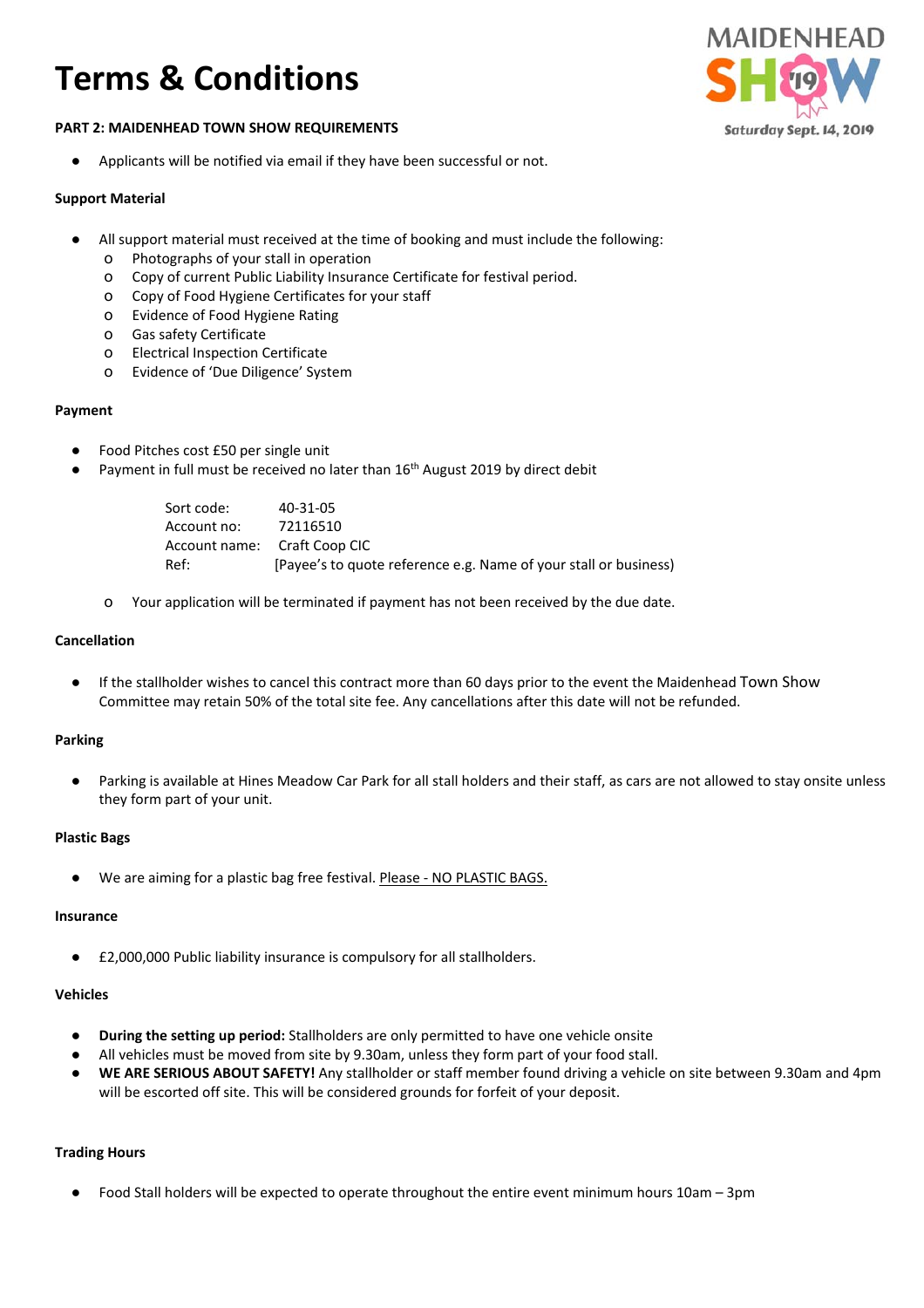#### **PART 2: MAIDENHEAD TOWN SHOW REQUIREMENTS**

● Applicants will be notified via email if they have been successful or not.

#### **Support Material**

- All support material must received at the time of booking and must include the following:
	- o Photographs of your stall in operation
	- o Copy of current Public Liability Insurance Certificate for festival period.
	- o Copy of Food Hygiene Certificates for your staff
	- o Evidence of Food Hygiene Rating
	- o Gas safety Certificate
	- o Electrical Inspection Certificate
	- o Evidence of 'Due Diligence' System

#### **Payment**

- Food Pitches cost £50 per single unit
- Payment in full must be received no later than 16<sup>th</sup> August 2019 by direct debit

| Sort code:  | 40-31-05                                                         |
|-------------|------------------------------------------------------------------|
| Account no: | 72116510                                                         |
|             | Account name: Craft Coop CIC                                     |
| Ref:        | [Payee's to quote reference e.g. Name of your stall or business] |

o Your application will be terminated if payment has not been received by the due date.

#### **Cancellation**

If the stallholder wishes to cancel this contract more than 60 days prior to the event the Maidenhead Town Show Committee may retain 50% of the total site fee. Any cancellations after this date will not be refunded.

#### **Parking**

Parking is available at Hines Meadow Car Park for all stall holders and their staff, as cars are not allowed to stay onsite unless they form part of your unit.

#### **Plastic Bags**

We are aiming for a plastic bag free festival. Please - NO PLASTIC BAGS.

#### **Insurance**

● £2,000,000 Public liability insurance is compulsory for all stallholders.

#### **Vehicles**

- **During the setting up period:** Stallholders are only permitted to have one vehicle onsite
- All vehicles must be moved from site by 9.30am, unless they form part of your food stall.
- **WE ARE SERIOUS ABOUT SAFETY!** Any stallholder or staff member found driving a vehicle on site between 9.30am and 4pm will be escorted off site. This will be considered grounds for forfeit of your deposit.

### **Trading Hours**

Food Stall holders will be expected to operate throughout the entire event minimum hours 10am – 3pm

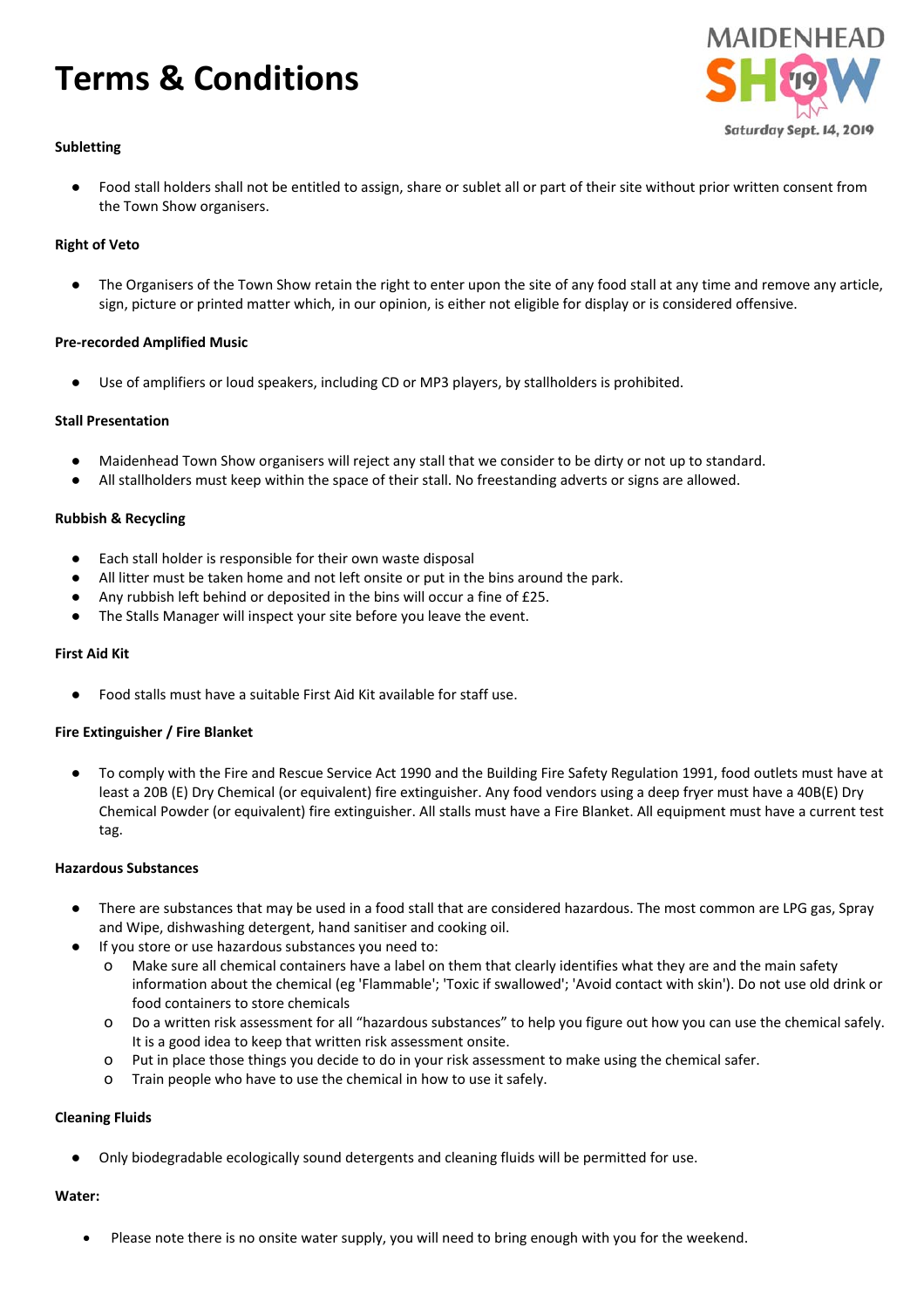

#### **Subletting**

Food stall holders shall not be entitled to assign, share or sublet all or part of their site without prior written consent from the Town Show organisers.

#### **Right of Veto**

● The Organisers of the Town Show retain the right to enter upon the site of any food stall at any time and remove any article, sign, picture or printed matter which, in our opinion, is either not eligible for display or is considered offensive.

#### **Pre‐recorded Amplified Music**

Use of amplifiers or loud speakers, including CD or MP3 players, by stallholders is prohibited.

#### **Stall Presentation**

- Maidenhead Town Show organisers will reject any stall that we consider to be dirty or not up to standard.
- All stallholders must keep within the space of their stall. No freestanding adverts or signs are allowed.

#### **Rubbish & Recycling**

- Each stall holder is responsible for their own waste disposal
- All litter must be taken home and not left onsite or put in the bins around the park.
- Any rubbish left behind or deposited in the bins will occur a fine of £25.
- The Stalls Manager will inspect your site before you leave the event.

#### **First Aid Kit**

Food stalls must have a suitable First Aid Kit available for staff use.

#### **Fire Extinguisher / Fire Blanket**

To comply with the Fire and Rescue Service Act 1990 and the Building Fire Safety Regulation 1991, food outlets must have at least a 20B (E) Dry Chemical (or equivalent) fire extinguisher. Any food vendors using a deep fryer must have a 40B(E) Dry Chemical Powder (or equivalent) fire extinguisher. All stalls must have a Fire Blanket. All equipment must have a current test tag.

#### **Hazardous Substances**

- There are substances that may be used in a food stall that are considered hazardous. The most common are LPG gas, Spray and Wipe, dishwashing detergent, hand sanitiser and cooking oil.
- If you store or use hazardous substances you need to:
	- o Make sure all chemical containers have a label on them that clearly identifies what they are and the main safety information about the chemical (eg 'Flammable'; 'Toxic if swallowed'; 'Avoid contact with skin'). Do not use old drink or food containers to store chemicals
	- o Do a written risk assessment for all "hazardous substances" to help you figure out how you can use the chemical safely. It is a good idea to keep that written risk assessment onsite.
	- o Put in place those things you decide to do in your risk assessment to make using the chemical safer.
	- o Train people who have to use the chemical in how to use it safely.

#### **Cleaning Fluids**

Only biodegradable ecologically sound detergents and cleaning fluids will be permitted for use.

#### **Water:**

Please note there is no onsite water supply, you will need to bring enough with you for the weekend.